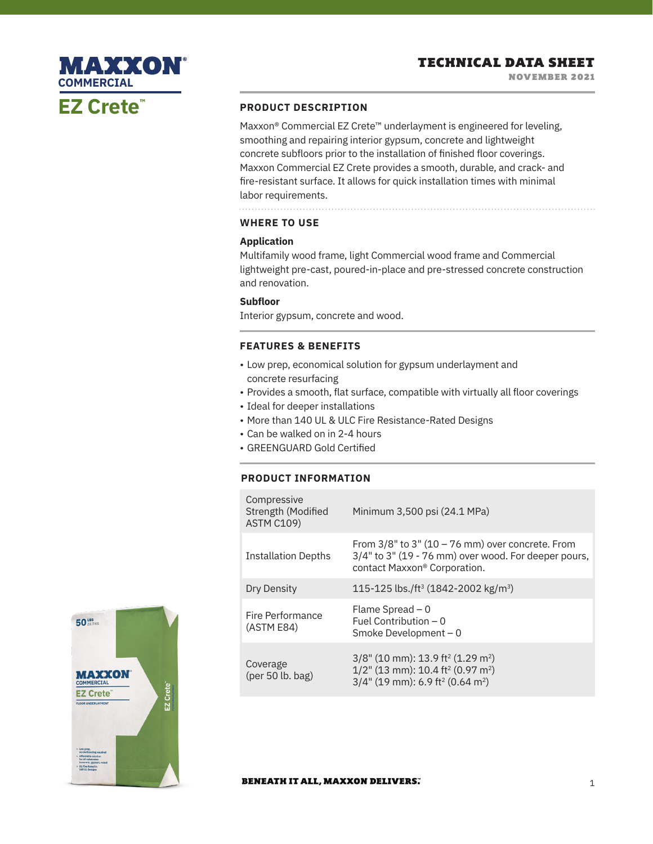# MAXXON **COMMERCIALEZ Crete™**

## **PRODUCT DESCRIPTION**

Maxxon<sup>®</sup> Commercial EZ Crete™ underlayment is engineered for leveling, smoothing and repairing interior gypsum, concrete and lightweight concrete subfloors prior to the installation of finished floor coverings. Maxxon Commercial EZ Crete provides a smooth, durable, and crack- and fire-resistant surface. It allows for quick installation times with minimal labor requirements.

# **WHERE TO USE**

## **Application**

Multifamily wood frame, light Commercial wood frame and Commercial lightweight pre-cast, poured-in-place and pre-stressed concrete construction and renovation.

## **Subfloor**

Interior gypsum, concrete and wood.

# **FEATURES & BENEFITS**

- Low prep, economical solution for gypsum underlayment and concrete resurfacing
- Provides a smooth, flat surface, compatible with virtually all floor coverings
- Ideal for deeper installations
- More than 140 UL & ULC Fire Resistance-Rated Designs
- Can be walked on in 2-4 hours
- GREENGUARD Gold Certified

## **PRODUCT INFORMATION**

| Compressive<br>Strength (Modified<br><b>ASTM C109)</b> | Minimum 3,500 psi (24.1 MPa)                                                                                                                                                                |
|--------------------------------------------------------|---------------------------------------------------------------------------------------------------------------------------------------------------------------------------------------------|
| <b>Installation Depths</b>                             | From $3/8$ " to $3$ " (10 – 76 mm) over concrete. From<br>$3/4"$ to $3"$ (19 - 76 mm) over wood. For deeper pours,<br>contact Maxxon® Corporation.                                          |
| Dry Density                                            | 115-125 lbs./ft <sup>3</sup> (1842-2002 kg/m <sup>3</sup> )                                                                                                                                 |
| Fire Performance<br>(ASTM E84)                         | Flame Spread $-0$<br>Fuel Contribution $-0$<br>Smoke Development - 0                                                                                                                        |
| Coverage<br>$(\text{per }50 \text{ lb. bag})$          | $3/8$ " (10 mm): 13.9 ft <sup>2</sup> (1.29 m <sup>2</sup> )<br>$1/2$ " (13 mm): 10.4 ft <sup>2</sup> (0.97 m <sup>2</sup> )<br>$3/4$ " (19 mm): 6.9 ft <sup>2</sup> (0.64 m <sup>2</sup> ) |



#### **BENEATH IT ALL, MAXXON DELIVERS.**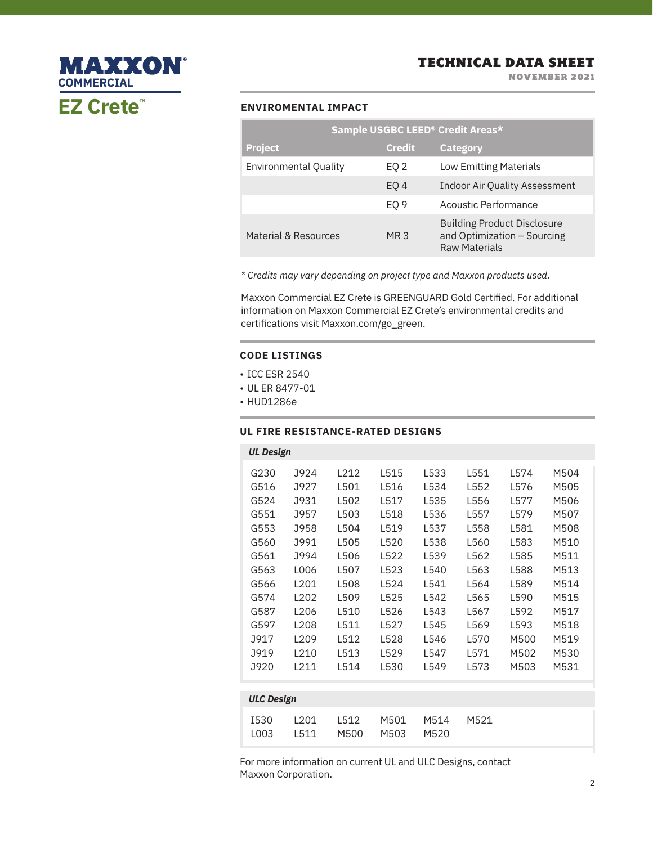#### **ENVIROMENTAL IMPACT**

**EZ Crete™**

**MAXXON®** 

**COMMERCIAL**

|                              |                 | Sample USGBC LEED® Credit Areas*                                                          |
|------------------------------|-----------------|-------------------------------------------------------------------------------------------|
| <b>Project</b>               | <b>Credit</b>   | <b>Category</b>                                                                           |
| <b>Environmental Quality</b> | EQ 2            | <b>Low Emitting Materials</b>                                                             |
|                              | EO <sub>4</sub> | <b>Indoor Air Quality Assessment</b>                                                      |
|                              | EO <sub>9</sub> | Acoustic Performance                                                                      |
| Material & Resources         | MR <sub>3</sub> | <b>Building Product Disclosure</b><br>and Optimization - Sourcing<br><b>Raw Materials</b> |

*\* Credits may vary depending on project type and Maxxon products used.*

Maxxon Commercial EZ Crete is GREENGUARD Gold Certified. For additional information on Maxxon Commercial EZ Crete's environmental credits and certifications visit Maxxon.com/go\_green.

#### **CODE LISTINGS**

- ICC ESR 2540
- UL ER 8477-01
- HUD1286e

## **UL FIRE RESISTANCE-RATED DESIGNS**

| <b>UL Design</b>  |                  |      |      |      |      |      |      |  |
|-------------------|------------------|------|------|------|------|------|------|--|
| G230              | J924             | L212 | L515 | L533 | L551 | L574 | M504 |  |
| G516              | J927             | L501 | L516 | L534 | L552 | L576 | M505 |  |
| G524              | J931             | L502 | L517 | L535 | L556 | L577 | M506 |  |
| G551              | J957             | L503 | L518 | L536 | L557 | L579 | M507 |  |
| G553              | J958             | L504 | L519 | L537 | L558 | L581 | M508 |  |
| G560              | J991             | L505 | L520 | L538 | L560 | L583 | M510 |  |
| G561              | J994             | L506 | L522 | L539 | L562 | L585 | M511 |  |
| G563              | L006             | L507 | L523 | L540 | L563 | L588 | M513 |  |
| G566              | L201             | L508 | L524 | L541 | L564 | L589 | M514 |  |
| G574              | L <sub>202</sub> | L509 | L525 | L542 | L565 | L590 | M515 |  |
| G587              | L <sub>206</sub> | L510 | L526 | L543 | L567 | L592 | M517 |  |
| G597              | L <sub>208</sub> | L511 | L527 | L545 | L569 | L593 | M518 |  |
| J917              | L <sub>209</sub> | L512 | L528 | L546 | L570 | M500 | M519 |  |
| J919              | L210             | L513 | L529 | L547 | L571 | M502 | M530 |  |
| J920              | L211             | L514 | L530 | L549 | L573 | M503 | M531 |  |
|                   |                  |      |      |      |      |      |      |  |
| <b>ULC Design</b> |                  |      |      |      |      |      |      |  |
|                   |                  |      |      |      |      |      |      |  |

|  | I530 L201 L512 M501 M514 M521 |  |  |
|--|-------------------------------|--|--|
|  | LOO3 L511 M500 M503 M520      |  |  |

For more information on current UL and ULC Designs, contact Maxxon Corporation.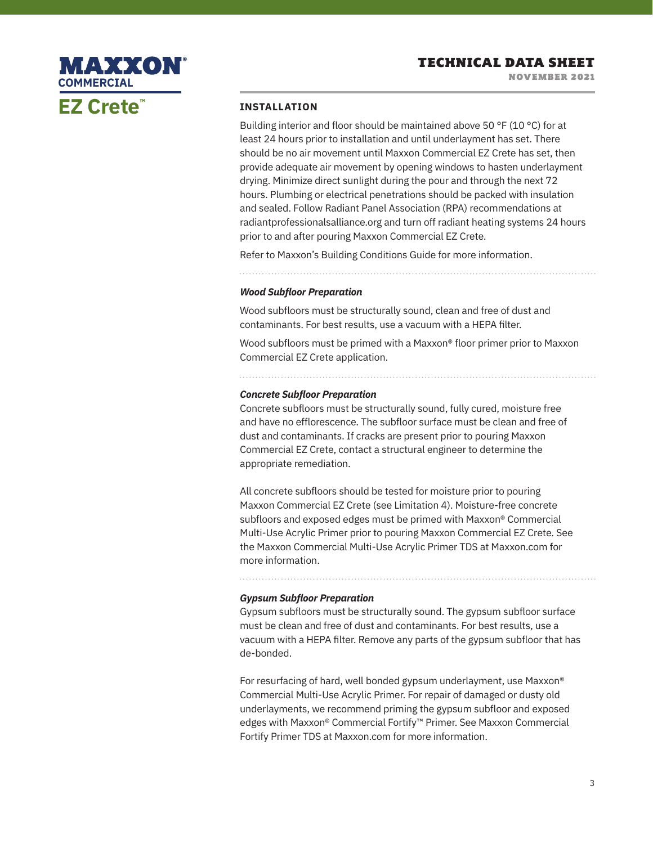

#### **INSTALLATION**

Building interior and floor should be maintained above 50 °F (10 °C) for at least 24 hours prior to installation and until underlayment has set. There should be no air movement until Maxxon Commercial EZ Crete has set, then provide adequate air movement by opening windows to hasten underlayment drying. Minimize direct sunlight during the pour and through the next 72 hours. Plumbing or electrical penetrations should be packed with insulation and sealed. Follow Radiant Panel Association (RPA) recommendations at radiantprofessionalsalliance.org and turn off radiant heating systems 24 hours prior to and after pouring Maxxon Commercial EZ Crete.

Refer to Maxxon's Building Conditions Guide for more information.

#### *Wood Subfloor Preparation*

Wood subfloors must be structurally sound, clean and free of dust and contaminants. For best results, use a vacuum with a HEPA filter.

Wood subfloors must be primed with a Maxxon® floor primer prior to Maxxon Commercial EZ Crete application.

#### *Concrete Subfloor Preparation*

Concrete subfloors must be structurally sound, fully cured, moisture free and have no efflorescence. The subfloor surface must be clean and free of dust and contaminants. If cracks are present prior to pouring Maxxon Commercial EZ Crete, contact a structural engineer to determine the appropriate remediation.

All concrete subfloors should be tested for moisture prior to pouring Maxxon Commercial EZ Crete (see Limitation 4). Moisture-free concrete subfloors and exposed edges must be primed with Maxxon® Commercial Multi-Use Acrylic Primer prior to pouring Maxxon Commercial EZ Crete. See the Maxxon Commercial Multi-Use Acrylic Primer TDS at Maxxon.com for more information.

#### *Gypsum Subfloor Preparation*

Gypsum subfloors must be structurally sound. The gypsum subfloor surface must be clean and free of dust and contaminants. For best results, use a vacuum with a HEPA filter. Remove any parts of the gypsum subfloor that has de-bonded.

For resurfacing of hard, well bonded gypsum underlayment, use Maxxon® Commercial Multi-Use Acrylic Primer. For repair of damaged or dusty old underlayments, we recommend priming the gypsum subfloor and exposed edges with Maxxon® Commercial Fortify™ Primer. See Maxxon Commercial Fortify Primer TDS at Maxxon.com for more information.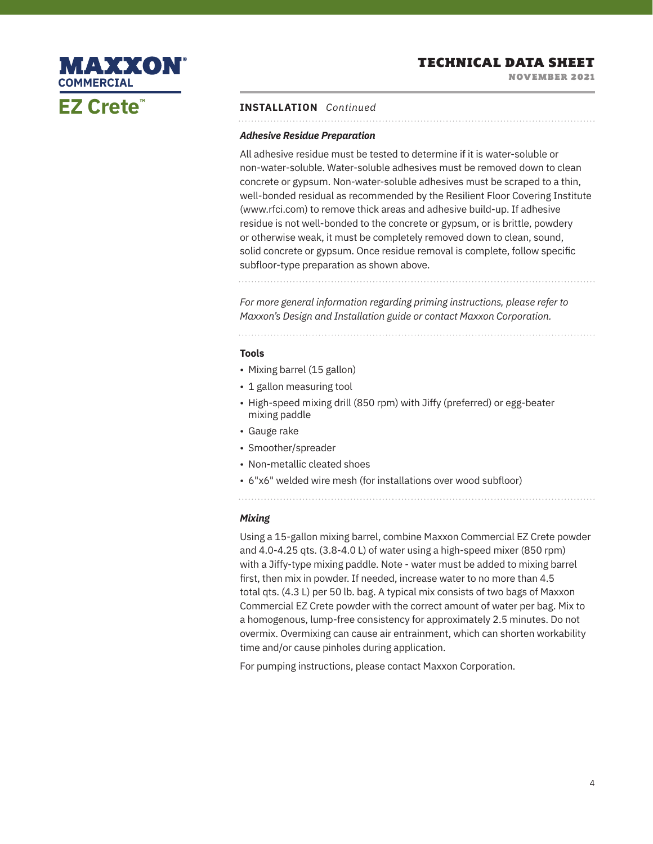NOVEMBER 2021



#### **INSTALLATION** *Continued*

#### *Adhesive Residue Preparation*

All adhesive residue must be tested to determine if it is water-soluble or non-water-soluble. Water-soluble adhesives must be removed down to clean concrete or gypsum. Non-water-soluble adhesives must be scraped to a thin, well-bonded residual as recommended by the Resilient Floor Covering Institute (www.rfci.com) to remove thick areas and adhesive build-up. If adhesive residue is not well-bonded to the concrete or gypsum, or is brittle, powdery or otherwise weak, it must be completely removed down to clean, sound, solid concrete or gypsum. Once residue removal is complete, follow specific subfloor-type preparation as shown above.

*For more general information regarding priming instructions, please refer to Maxxon's Design and Installation guide or contact Maxxon Corporation.*

#### **Tools**

- Mixing barrel (15 gallon)
- 1 gallon measuring tool
- High-speed mixing drill (850 rpm) with Jiffy (preferred) or egg-beater mixing paddle
- Gauge rake
- Smoother/spreader
- Non-metallic cleated shoes
- 6"x6" welded wire mesh (for installations over wood subfloor)
- 

#### *Mixing*

Using a 15-gallon mixing barrel, combine Maxxon Commercial EZ Crete powder and 4.0-4.25 qts. (3.8-4.0 L) of water using a high-speed mixer (850 rpm) with a Jiffy-type mixing paddle. Note - water must be added to mixing barrel first, then mix in powder. If needed, increase water to no more than 4.5 total qts. (4.3 L) per 50 lb. bag. A typical mix consists of two bags of Maxxon Commercial EZ Crete powder with the correct amount of water per bag. Mix to a homogenous, lump-free consistency for approximately 2.5 minutes. Do not overmix. Overmixing can cause air entrainment, which can shorten workability time and/or cause pinholes during application.

For pumping instructions, please contact Maxxon Corporation.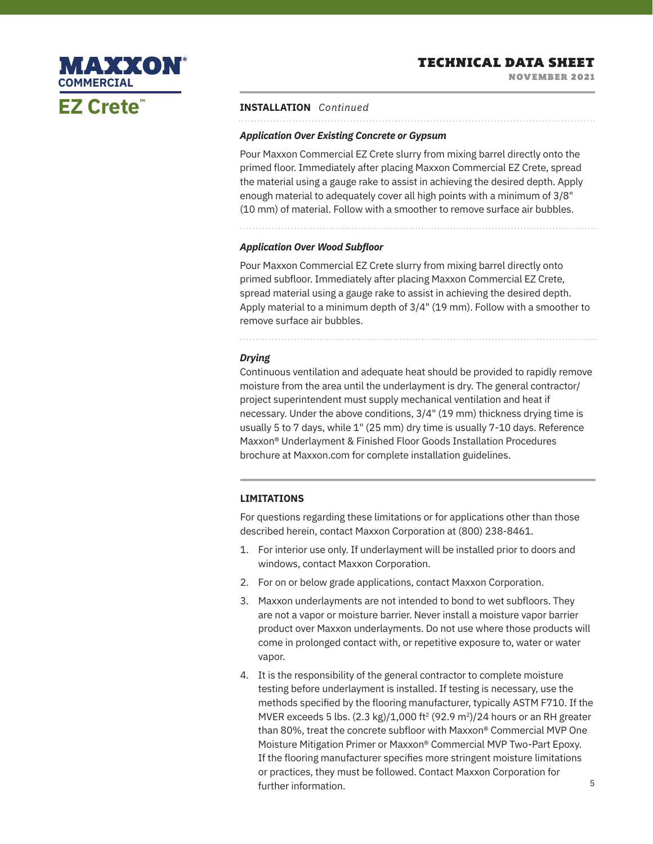NOVEMBER 2021



#### **INSTALLATION** *Continued*

#### *Application Over Existing Concrete or Gypsum*

Pour Maxxon Commercial EZ Crete slurry from mixing barrel directly onto the primed floor. Immediately after placing Maxxon Commercial EZ Crete, spread the material using a gauge rake to assist in achieving the desired depth. Apply enough material to adequately cover all high points with a minimum of 3/8" (10 mm) of material. Follow with a smoother to remove surface air bubbles.

#### *Application Over Wood Subfloor*

Pour Maxxon Commercial EZ Crete slurry from mixing barrel directly onto primed subfloor. Immediately after placing Maxxon Commercial EZ Crete, spread material using a gauge rake to assist in achieving the desired depth. Apply material to a minimum depth of 3/4" (19 mm). Follow with a smoother to remove surface air bubbles.

*Drying*

Continuous ventilation and adequate heat should be provided to rapidly remove moisture from the area until the underlayment is dry. The general contractor/ project superintendent must supply mechanical ventilation and heat if necessary. Under the above conditions, 3/4" (19 mm) thickness drying time is usually 5 to 7 days, while 1" (25 mm) dry time is usually 7-10 days. Reference Maxxon® Underlayment & Finished Floor Goods Installation Procedures brochure at Maxxon.com for complete installation guidelines.

### **LIMITATIONS**

For questions regarding these limitations or for applications other than those described herein, contact Maxxon Corporation at (800) 238-8461.

- 1. For interior use only. If underlayment will be installed prior to doors and windows, contact Maxxon Corporation.
- 2. For on or below grade applications, contact Maxxon Corporation.
- 3. Maxxon underlayments are not intended to bond to wet subfloors. They are not a vapor or moisture barrier. Never install a moisture vapor barrier product over Maxxon underlayments. Do not use where those products will come in prolonged contact with, or repetitive exposure to, water or water vapor.
- 4. It is the responsibility of the general contractor to complete moisture testing before underlayment is installed. If testing is necessary, use the methods specified by the flooring manufacturer, typically ASTM F710. If the MVER exceeds 5 lbs.  $(2.3 \text{ kg})/1,000 \text{ ft}^2 (92.9 \text{ m}^2)/24$  hours or an RH greater than 80%, treat the concrete subfloor with Maxxon® Commercial MVP One Moisture Mitigation Primer or Maxxon® Commercial MVP Two-Part Epoxy. If the flooring manufacturer specifies more stringent moisture limitations or practices, they must be followed. Contact Maxxon Corporation for further information.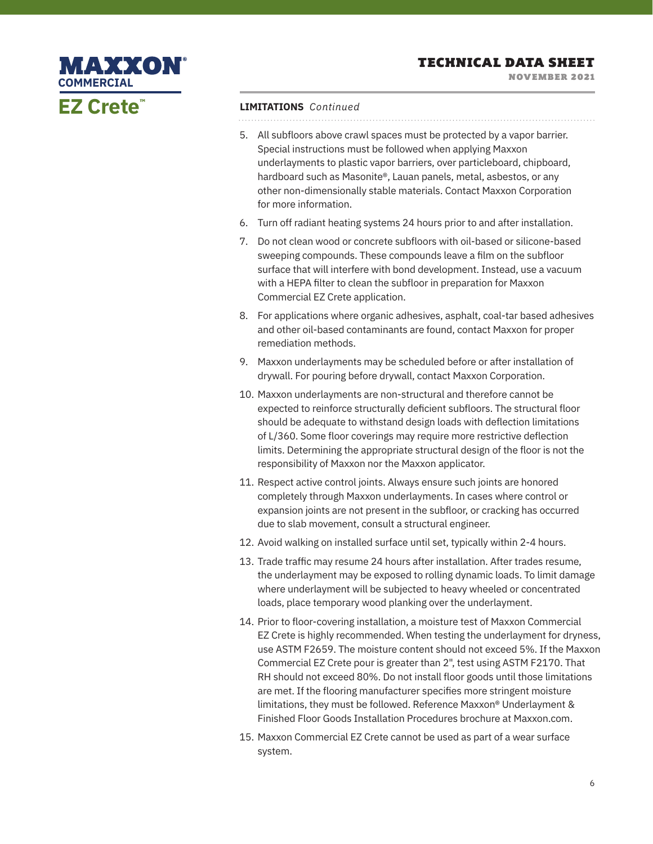NOVEMBER 2021

# **MAXXON® COMMERCIALEZ Crete™**

## **LIMITATIONS** *Continued*

- 5. All subfloors above crawl spaces must be protected by a vapor barrier. Special instructions must be followed when applying Maxxon underlayments to plastic vapor barriers, over particleboard, chipboard, hardboard such as Masonite®, Lauan panels, metal, asbestos, or any other non-dimensionally stable materials. Contact Maxxon Corporation for more information.
- 6. Turn off radiant heating systems 24 hours prior to and after installation.
- 7. Do not clean wood or concrete subfloors with oil-based or silicone-based sweeping compounds. These compounds leave a film on the subfloor surface that will interfere with bond development. Instead, use a vacuum with a HEPA filter to clean the subfloor in preparation for Maxxon Commercial EZ Crete application.
- 8. For applications where organic adhesives, asphalt, coal-tar based adhesives and other oil-based contaminants are found, contact Maxxon for proper remediation methods.
- 9. Maxxon underlayments may be scheduled before or after installation of drywall. For pouring before drywall, contact Maxxon Corporation.
- 10. Maxxon underlayments are non-structural and therefore cannot be expected to reinforce structurally deficient subfloors. The structural floor should be adequate to withstand design loads with deflection limitations of L/360. Some floor coverings may require more restrictive deflection limits. Determining the appropriate structural design of the floor is not the responsibility of Maxxon nor the Maxxon applicator.
- 11. Respect active control joints. Always ensure such joints are honored completely through Maxxon underlayments. In cases where control or expansion joints are not present in the subfloor, or cracking has occurred due to slab movement, consult a structural engineer.
- 12. Avoid walking on installed surface until set, typically within 2-4 hours.
- 13. Trade traffic may resume 24 hours after installation. After trades resume, the underlayment may be exposed to rolling dynamic loads. To limit damage where underlayment will be subjected to heavy wheeled or concentrated loads, place temporary wood planking over the underlayment.
- 14. Prior to floor-covering installation, a moisture test of Maxxon Commercial EZ Crete is highly recommended. When testing the underlayment for dryness, use ASTM F2659. The moisture content should not exceed 5%. If the Maxxon Commercial EZ Crete pour is greater than 2", test using ASTM F2170. That RH should not exceed 80%. Do not install floor goods until those limitations are met. If the flooring manufacturer specifies more stringent moisture limitations, they must be followed. Reference Maxxon® Underlayment & Finished Floor Goods Installation Procedures brochure at Maxxon.com.
- 15. Maxxon Commercial EZ Crete cannot be used as part of a wear surface system.